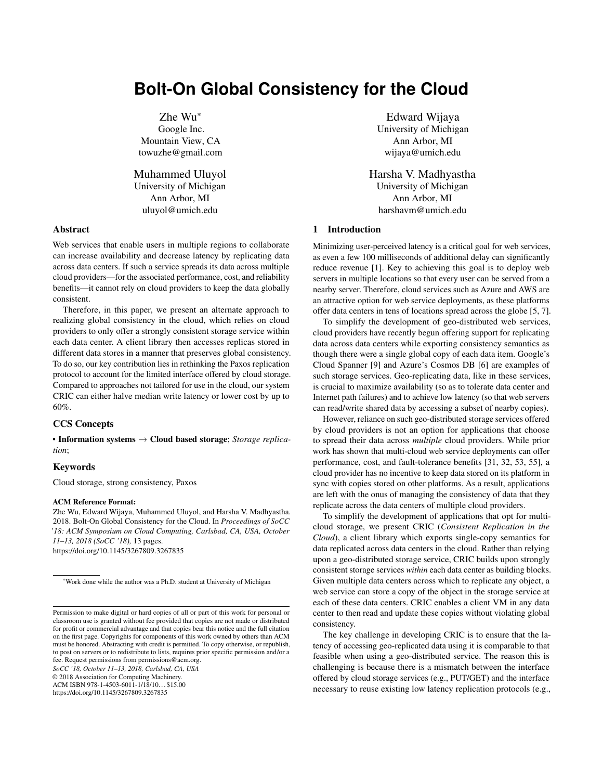# **Bolt-On Global Consistency for the Cloud**

Zhe Wu\* Google Inc. Mountain View, CA towuzhe@gmail.com

Muhammed Uluyol University of Michigan Ann Arbor, MI uluyol@umich.edu

# Abstract

Web services that enable users in multiple regions to collaborate can increase availability and decrease latency by replicating data across data centers. If such a service spreads its data across multiple cloud providers—for the associated performance, cost, and reliability benefits—it cannot rely on cloud providers to keep the data globally consistent.

Therefore, in this paper, we present an alternate approach to realizing global consistency in the cloud, which relies on cloud providers to only offer a strongly consistent storage service within each data center. A client library then accesses replicas stored in different data stores in a manner that preserves global consistency. To do so, our key contribution lies in rethinking the Paxos replication protocol to account for the limited interface offered by cloud storage. Compared to approaches not tailored for use in the cloud, our system CRIC can either halve median write latency or lower cost by up to 60%.

# CCS Concepts

• Information systems → Cloud based storage; *Storage replication*;

# Keywords

Cloud storage, strong consistency, Paxos

#### ACM Reference Format:

Zhe Wu, Edward Wijaya, Muhammed Uluyol, and Harsha V. Madhyastha. 2018. Bolt-On Global Consistency for the Cloud. In *Proceedings of SoCC '18: ACM Symposium on Cloud Computing, Carlsbad, CA, USA, October 11–13, 2018 (SoCC '18),* [13](#page-12-0) pages. <https://doi.org/10.1145/3267809.3267835>

*SoCC '18, October 11–13, 2018, Carlsbad, CA, USA*

© 2018 Association for Computing Machinery.

ACM ISBN 978-1-4503-6011-1/18/10. . . \$15.00 <https://doi.org/10.1145/3267809.3267835>

Edward Wijaya University of Michigan Ann Arbor, MI wijaya@umich.edu

Harsha V. Madhyastha University of Michigan Ann Arbor, MI harshavm@umich.edu

# 1 Introduction

Minimizing user-perceived latency is a critical goal for web services, as even a few 100 milliseconds of additional delay can significantly reduce revenue [\[1\]](#page-12-1). Key to achieving this goal is to deploy web servers in multiple locations so that every user can be served from a nearby server. Therefore, cloud services such as Azure and AWS are an attractive option for web service deployments, as these platforms offer data centers in tens of locations spread across the globe [\[5,](#page-12-2) [7\]](#page-12-3).

To simplify the development of geo-distributed web services, cloud providers have recently begun offering support for replicating data across data centers while exporting consistency semantics as though there were a single global copy of each data item. Google's Cloud Spanner [\[9\]](#page-12-4) and Azure's Cosmos DB [\[6\]](#page-12-5) are examples of such storage services. Geo-replicating data, like in these services, is crucial to maximize availability (so as to tolerate data center and Internet path failures) and to achieve low latency (so that web servers can read/write shared data by accessing a subset of nearby copies).

However, reliance on such geo-distributed storage services offered by cloud providers is not an option for applications that choose to spread their data across *multiple* cloud providers. While prior work has shown that multi-cloud web service deployments can offer performance, cost, and fault-tolerance benefits [\[31,](#page-12-6) [32,](#page-12-7) [53,](#page-12-8) [55\]](#page-12-9), a cloud provider has no incentive to keep data stored on its platform in sync with copies stored on other platforms. As a result, applications are left with the onus of managing the consistency of data that they replicate across the data centers of multiple cloud providers.

To simplify the development of applications that opt for multicloud storage, we present CRIC (*Consistent Replication in the Cloud*), a client library which exports single-copy semantics for data replicated across data centers in the cloud. Rather than relying upon a geo-distributed storage service, CRIC builds upon strongly consistent storage services *within* each data center as building blocks. Given multiple data centers across which to replicate any object, a web service can store a copy of the object in the storage service at each of these data centers. CRIC enables a client VM in any data center to then read and update these copies without violating global consistency.

The key challenge in developing CRIC is to ensure that the latency of accessing geo-replicated data using it is comparable to that feasible when using a geo-distributed service. The reason this is challenging is because there is a mismatch between the interface offered by cloud storage services (e.g., PUT/GET) and the interface necessary to reuse existing low latency replication protocols (e.g.,

<sup>\*</sup>Work done while the author was a Ph.D. student at University of Michigan

Permission to make digital or hard copies of all or part of this work for personal or classroom use is granted without fee provided that copies are not made or distributed for profit or commercial advantage and that copies bear this notice and the full citation on the first page. Copyrights for components of this work owned by others than ACM must be honored. Abstracting with credit is permitted. To copy otherwise, or republish, to post on servers or to redistribute to lists, requires prior specific permission and/or a fee. Request permissions from permissions@acm.org.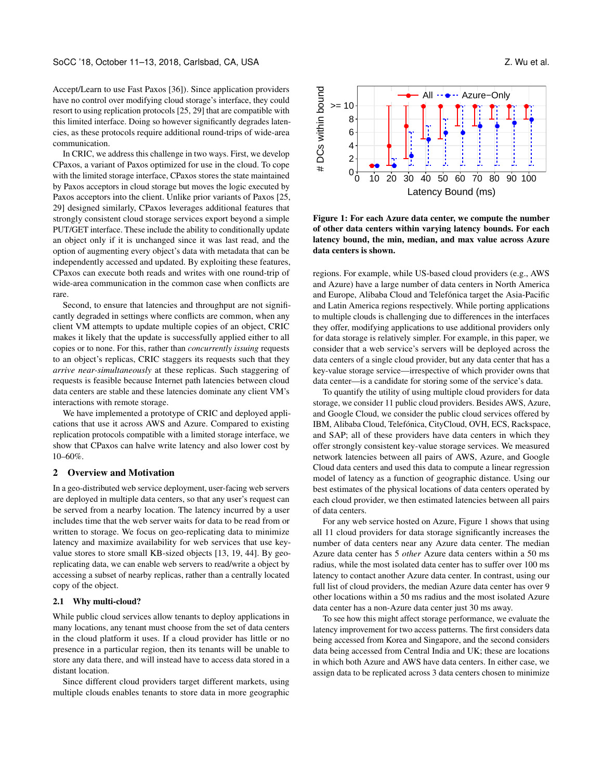Accept/Learn to use Fast Paxos [\[36\]](#page-12-10)). Since application providers have no control over modifying cloud storage's interface, they could resort to using replication protocols [\[25,](#page-12-11) [29\]](#page-12-12) that are compatible with this limited interface. Doing so however significantly degrades latencies, as these protocols require additional round-trips of wide-area communication.

In CRIC, we address this challenge in two ways. First, we develop CPaxos, a variant of Paxos optimized for use in the cloud. To cope with the limited storage interface, CPaxos stores the state maintained by Paxos acceptors in cloud storage but moves the logic executed by Paxos acceptors into the client. Unlike prior variants of Paxos [\[25,](#page-12-11) [29\]](#page-12-12) designed similarly, CPaxos leverages additional features that strongly consistent cloud storage services export beyond a simple PUT/GET interface. These include the ability to conditionally update an object only if it is unchanged since it was last read, and the option of augmenting every object's data with metadata that can be independently accessed and updated. By exploiting these features, CPaxos can execute both reads and writes with one round-trip of wide-area communication in the common case when conflicts are rare.

Second, to ensure that latencies and throughput are not significantly degraded in settings where conflicts are common, when any client VM attempts to update multiple copies of an object, CRIC makes it likely that the update is successfully applied either to all copies or to none. For this, rather than *concurrently issuing* requests to an object's replicas, CRIC staggers its requests such that they *arrive near-simultaneously* at these replicas. Such staggering of requests is feasible because Internet path latencies between cloud data centers are stable and these latencies dominate any client VM's interactions with remote storage.

We have implemented a prototype of CRIC and deployed applications that use it across AWS and Azure. Compared to existing replication protocols compatible with a limited storage interface, we show that CPaxos can halve write latency and also lower cost by 10–60%.

### 2 Overview and Motivation

In a geo-distributed web service deployment, user-facing web servers are deployed in multiple data centers, so that any user's request can be served from a nearby location. The latency incurred by a user includes time that the web server waits for data to be read from or written to storage. We focus on geo-replicating data to minimize latency and maximize availability for web services that use keyvalue stores to store small KB-sized objects [\[13,](#page-12-13) [19,](#page-12-14) [44\]](#page-12-15). By georeplicating data, we can enable web servers to read/write a object by accessing a subset of nearby replicas, rather than a centrally located copy of the object.

#### 2.1 Why multi-cloud?

While public cloud services allow tenants to deploy applications in many locations, any tenant must choose from the set of data centers in the cloud platform it uses. If a cloud provider has little or no presence in a particular region, then its tenants will be unable to store any data there, and will instead have to access data stored in a distant location.

Since different cloud providers target different markets, using multiple clouds enables tenants to store data in more geographic

<span id="page-1-0"></span>

Figure 1: For each Azure data center, we compute the number of other data centers within varying latency bounds. For each latency bound, the min, median, and max value across Azure data centers is shown.

regions. For example, while US-based cloud providers (e.g., AWS and Azure) have a large number of data centers in North America and Europe, Alibaba Cloud and Telefónica target the Asia-Pacific and Latin America regions respectively. While porting applications to multiple clouds is challenging due to differences in the interfaces they offer, modifying applications to use additional providers only for data storage is relatively simpler. For example, in this paper, we consider that a web service's servers will be deployed across the data centers of a single cloud provider, but any data center that has a key-value storage service—irrespective of which provider owns that data center—is a candidate for storing some of the service's data.

To quantify the utility of using multiple cloud providers for data storage, we consider 11 public cloud providers. Besides AWS, Azure, and Google Cloud, we consider the public cloud services offered by IBM, Alibaba Cloud, Telefónica, CityCloud, OVH, ECS, Rackspace, and SAP; all of these providers have data centers in which they offer strongly consistent key-value storage services. We measured network latencies between all pairs of AWS, Azure, and Google Cloud data centers and used this data to compute a linear regression model of latency as a function of geographic distance. Using our best estimates of the physical locations of data centers operated by each cloud provider, we then estimated latencies between all pairs of data centers.

For any web service hosted on Azure, Figure [1](#page-1-0) shows that using all 11 cloud providers for data storage significantly increases the number of data centers near any Azure data center. The median Azure data center has 5 *other* Azure data centers within a 50 ms radius, while the most isolated data center has to suffer over 100 ms latency to contact another Azure data center. In contrast, using our full list of cloud providers, the median Azure data center has over 9 other locations within a 50 ms radius and the most isolated Azure data center has a non-Azure data center just 30 ms away.

To see how this might affect storage performance, we evaluate the latency improvement for two access patterns. The first considers data being accessed from Korea and Singapore, and the second considers data being accessed from Central India and UK; these are locations in which both Azure and AWS have data centers. In either case, we assign data to be replicated across 3 data centers chosen to minimize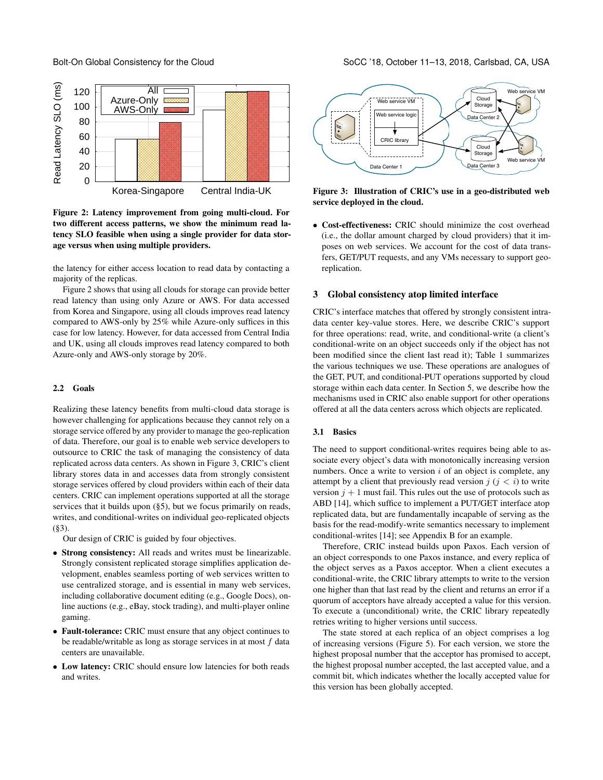<span id="page-2-0"></span>

# Figure 2: Latency improvement from going multi-cloud. For two different access patterns, we show the minimum read latency SLO feasible when using a single provider for data storage versus when using multiple providers.

the latency for either access location to read data by contacting a majority of the replicas.

Figure [2](#page-2-0) shows that using all clouds for storage can provide better read latency than using only Azure or AWS. For data accessed from Korea and Singapore, using all clouds improves read latency compared to AWS-only by 25% while Azure-only suffices in this case for low latency. However, for data accessed from Central India and UK, using all clouds improves read latency compared to both Azure-only and AWS-only storage by 20%.

# 2.2 Goals

Realizing these latency benefits from multi-cloud data storage is however challenging for applications because they cannot rely on a storage service offered by any provider to manage the geo-replication of data. Therefore, our goal is to enable web service developers to outsource to CRIC the task of managing the consistency of data replicated across data centers. As shown in Figure [3,](#page-2-1) CRIC's client library stores data in and accesses data from strongly consistent storage services offered by cloud providers within each of their data centers. CRIC can implement operations supported at all the storage services that it builds upon ([§5\)](#page-9-0), but we focus primarily on reads, writes, and conditional-writes on individual geo-replicated objects ([§3\)](#page-2-2).

Our design of CRIC is guided by four objectives.

- ∙ Strong consistency: All reads and writes must be linearizable. Strongly consistent replicated storage simplifies application development, enables seamless porting of web services written to use centralized storage, and is essential in many web services, including collaborative document editing (e.g., Google Docs), online auctions (e.g., eBay, stock trading), and multi-player online gaming.
- ∙ Fault-tolerance: CRIC must ensure that any object continues to be readable/writable as long as storage services in at most  $f$  data centers are unavailable.
- ∙ Low latency: CRIC should ensure low latencies for both reads and writes.

<span id="page-2-1"></span>

Figure 3: Illustration of CRIC's use in a geo-distributed web service deployed in the cloud.

∙ Cost-effectiveness: CRIC should minimize the cost overhead (i.e., the dollar amount charged by cloud providers) that it imposes on web services. We account for the cost of data transfers, GET/PUT requests, and any VMs necessary to support georeplication.

#### <span id="page-2-2"></span>3 Global consistency atop limited interface

CRIC's interface matches that offered by strongly consistent intradata center key-value stores. Here, we describe CRIC's support for three operations: read, write, and conditional-write (a client's conditional-write on an object succeeds only if the object has not been modified since the client last read it); Table [1](#page-3-0) summarizes the various techniques we use. These operations are analogues of the GET, PUT, and conditional-PUT operations supported by cloud storage within each data center. In Section [5,](#page-9-0) we describe how the mechanisms used in CRIC also enable support for other operations offered at all the data centers across which objects are replicated.

# 3.1 Basics

The need to support conditional-writes requires being able to associate every object's data with monotonically increasing version numbers. Once a write to version  $i$  of an object is complete, any attempt by a client that previously read version  $j$  ( $j < i$ ) to write version  $j + 1$  must fail. This rules out the use of protocols such as ABD [\[14\]](#page-12-16), which suffice to implement a PUT/GET interface atop replicated data, but are fundamentally incapable of serving as the basis for the read-modify-write semantics necessary to implement conditional-writes [\[14\]](#page-12-16); see Appendix [B](#page-11-0) for an example.

Therefore, CRIC instead builds upon Paxos. Each version of an object corresponds to one Paxos instance, and every replica of the object serves as a Paxos acceptor. When a client executes a conditional-write, the CRIC library attempts to write to the version one higher than that last read by the client and returns an error if a quorum of acceptors have already accepted a value for this version. To execute a (unconditional) write, the CRIC library repeatedly retries writing to higher versions until success.

<span id="page-2-3"></span>The state stored at each replica of an object comprises a log of increasing versions (Figure [5\)](#page-5-0). For each version, we store the highest proposal number that the acceptor has promised to accept, the highest proposal number accepted, the last accepted value, and a commit bit, which indicates whether the locally accepted value for this version has been globally accepted.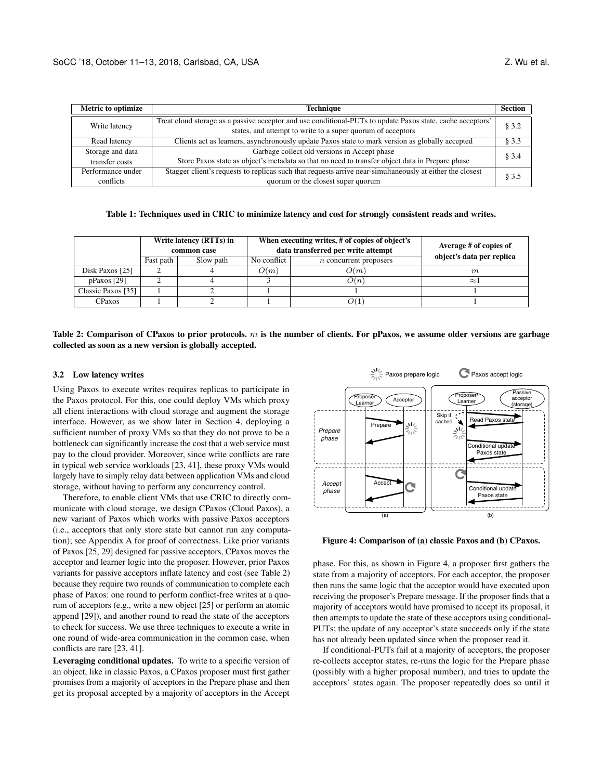<span id="page-3-0"></span>

| <b>Metric to optimize</b> | Techniaue                                                                                                  |       |  |  |  |
|---------------------------|------------------------------------------------------------------------------------------------------------|-------|--|--|--|
| Write latency             | Treat cloud storage as a passive acceptor and use conditional-PUTs to update Paxos state, cache acceptors' |       |  |  |  |
|                           | states, and attempt to write to a super quorum of acceptors                                                | § 3.2 |  |  |  |
| Read latency              | Clients act as learners, asynchronously update Paxos state to mark version as globally accepted            |       |  |  |  |
| Storage and data          | Garbage collect old versions in Accept phase                                                               | § 3.4 |  |  |  |
| transfer costs            | Store Paxos state as object's metadata so that no need to transfer object data in Prepare phase            |       |  |  |  |
| Performance under         | Stagger client's requests to replicas such that requests arrive near-simultaneously at either the closest  | § 3.5 |  |  |  |
| conflicts                 | quorum or the closest super quorum                                                                         |       |  |  |  |

Table 1: Techniques used in CRIC to minimize latency and cost for strongly consistent reads and writes.

<span id="page-3-1"></span>

|                        | Write latency (RTTs) in<br>common case |           | When executing writes, # of copies of object's<br>data transferred per write attempt |                               | Average # of copies of    |
|------------------------|----------------------------------------|-----------|--------------------------------------------------------------------------------------|-------------------------------|---------------------------|
|                        | Fast path                              | Slow path | No conflict                                                                          | <i>n</i> concurrent proposers | object's data per replica |
| Disk Paxos [25]        |                                        |           | O(m)                                                                                 | O(m)                          | m                         |
| $p$ Paxos [29]         |                                        |           |                                                                                      | O(n)                          | $\approx$ 1               |
| Classic Paxos [35] $ $ |                                        |           |                                                                                      |                               |                           |
| <b>CPaxos</b>          |                                        |           |                                                                                      | Ο(1                           |                           |

Table 2: Comparison of CPaxos to prior protocols.  $m$  is the number of clients. For pPaxos, we assume older versions are garbage collected as soon as a new version is globally accepted.

#### 3.2 Low latency writes

Using Paxos to execute writes requires replicas to participate in the Paxos protocol. For this, one could deploy VMs which proxy all client interactions with cloud storage and augment the storage interface. However, as we show later in Section [4,](#page-6-0) deploying a sufficient number of proxy VMs so that they do not prove to be a bottleneck can significantly increase the cost that a web service must pay to the cloud provider. Moreover, since write conflicts are rare in typical web service workloads [\[23,](#page-12-18) [41\]](#page-12-19), these proxy VMs would largely have to simply relay data between application VMs and cloud storage, without having to perform any concurrency control.

Therefore, to enable client VMs that use CRIC to directly communicate with cloud storage, we design CPaxos (Cloud Paxos), a new variant of Paxos which works with passive Paxos acceptors (i.e., acceptors that only store state but cannot run any computation); see Appendix [A](#page-10-0) for proof of correctness. Like prior variants of Paxos [\[25,](#page-12-11) [29\]](#page-12-12) designed for passive acceptors, CPaxos moves the acceptor and learner logic into the proposer. However, prior Paxos variants for passive acceptors inflate latency and cost (see Table [2\)](#page-3-1) because they require two rounds of communication to complete each phase of Paxos: one round to perform conflict-free writes at a quorum of acceptors (e.g., write a new object [\[25\]](#page-12-11) or perform an atomic append [\[29\]](#page-12-12)), and another round to read the state of the acceptors to check for success. We use three techniques to execute a write in one round of wide-area communication in the common case, when conflicts are rare [\[23,](#page-12-18) [41\]](#page-12-19).

Leveraging conditional updates. To write to a specific version of an object, like in classic Paxos, a CPaxos proposer must first gather promises from a majority of acceptors in the Prepare phase and then get its proposal accepted by a majority of acceptors in the Accept

<span id="page-3-2"></span>

Figure 4: Comparison of (a) classic Paxos and (b) CPaxos.

phase. For this, as shown in Figure [4,](#page-3-2) a proposer first gathers the state from a majority of acceptors. For each acceptor, the proposer then runs the same logic that the acceptor would have executed upon receiving the proposer's Prepare message. If the proposer finds that a majority of acceptors would have promised to accept its proposal, it then attempts to update the state of these acceptors using conditional-PUTs; the update of any acceptor's state succeeds only if the state has not already been updated since when the proposer read it.

If conditional-PUTs fail at a majority of acceptors, the proposer re-collects acceptor states, re-runs the logic for the Prepare phase (possibly with a higher proposal number), and tries to update the acceptors' states again. The proposer repeatedly does so until it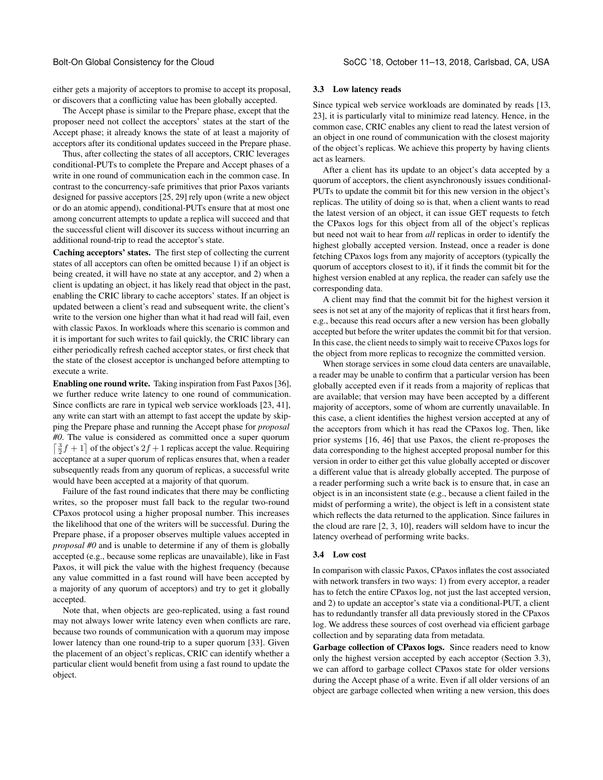either gets a majority of acceptors to promise to accept its proposal, or discovers that a conflicting value has been globally accepted.

The Accept phase is similar to the Prepare phase, except that the proposer need not collect the acceptors' states at the start of the Accept phase; it already knows the state of at least a majority of acceptors after its conditional updates succeed in the Prepare phase.

Thus, after collecting the states of all acceptors, CRIC leverages conditional-PUTs to complete the Prepare and Accept phases of a write in one round of communication each in the common case. In contrast to the concurrency-safe primitives that prior Paxos variants designed for passive acceptors [\[25,](#page-12-11) [29\]](#page-12-12) rely upon (write a new object or do an atomic append), conditional-PUTs ensure that at most one among concurrent attempts to update a replica will succeed and that the successful client will discover its success without incurring an additional round-trip to read the acceptor's state.

Caching acceptors' states. The first step of collecting the current states of all acceptors can often be omitted because 1) if an object is being created, it will have no state at any acceptor, and 2) when a client is updating an object, it has likely read that object in the past, enabling the CRIC library to cache acceptors' states. If an object is updated between a client's read and subsequent write, the client's write to the version one higher than what it had read will fail, even with classic Paxos. In workloads where this scenario is common and it is important for such writes to fail quickly, the CRIC library can either periodically refresh cached acceptor states, or first check that the state of the closest acceptor is unchanged before attempting to execute a write.

Enabling one round write. Taking inspiration from Fast Paxos [\[36\]](#page-12-10), we further reduce write latency to one round of communication. Since conflicts are rare in typical web service workloads [\[23,](#page-12-18) [41\]](#page-12-19), any write can start with an attempt to fast accept the update by skipping the Prepare phase and running the Accept phase for *proposal #0*. The value is considered as committed once a super quorum  $\left[\frac{3}{2}f+1\right]$  of the object's  $2f+1$  replicas accept the value. Requiring acceptance at a super quorum of replicas ensures that, when a reader subsequently reads from any quorum of replicas, a successful write would have been accepted at a majority of that quorum.

Failure of the fast round indicates that there may be conflicting writes, so the proposer must fall back to the regular two-round CPaxos protocol using a higher proposal number. This increases the likelihood that one of the writers will be successful. During the Prepare phase, if a proposer observes multiple values accepted in *proposal #0* and is unable to determine if any of them is globally accepted (e.g., because some replicas are unavailable), like in Fast Paxos, it will pick the value with the highest frequency (because any value committed in a fast round will have been accepted by a majority of any quorum of acceptors) and try to get it globally accepted.

<span id="page-4-0"></span>Note that, when objects are geo-replicated, using a fast round may not always lower write latency even when conflicts are rare, because two rounds of communication with a quorum may impose lower latency than one round-trip to a super quorum [\[33\]](#page-12-20). Given the placement of an object's replicas, CRIC can identify whether a particular client would benefit from using a fast round to update the object.

#### 3.3 Low latency reads

Since typical web service workloads are dominated by reads [\[13,](#page-12-13) [23\]](#page-12-18), it is particularly vital to minimize read latency. Hence, in the common case, CRIC enables any client to read the latest version of an object in one round of communication with the closest majority of the object's replicas. We achieve this property by having clients act as learners.

After a client has its update to an object's data accepted by a quorum of acceptors, the client asynchronously issues conditional-PUTs to update the commit bit for this new version in the object's replicas. The utility of doing so is that, when a client wants to read the latest version of an object, it can issue GET requests to fetch the CPaxos logs for this object from all of the object's replicas but need not wait to hear from *all* replicas in order to identify the highest globally accepted version. Instead, once a reader is done fetching CPaxos logs from any majority of acceptors (typically the quorum of acceptors closest to it), if it finds the commit bit for the highest version enabled at any replica, the reader can safely use the corresponding data.

A client may find that the commit bit for the highest version it sees is not set at any of the majority of replicas that it first hears from, e.g., because this read occurs after a new version has been globally accepted but before the writer updates the commit bit for that version. In this case, the client needs to simply wait to receive CPaxos logs for the object from more replicas to recognize the committed version.

When storage services in some cloud data centers are unavailable, a reader may be unable to confirm that a particular version has been globally accepted even if it reads from a majority of replicas that are available; that version may have been accepted by a different majority of acceptors, some of whom are currently unavailable. In this case, a client identifies the highest version accepted at any of the acceptors from which it has read the CPaxos log. Then, like prior systems [\[16,](#page-12-21) [46\]](#page-12-22) that use Paxos, the client re-proposes the data corresponding to the highest accepted proposal number for this version in order to either get this value globally accepted or discover a different value that is already globally accepted. The purpose of a reader performing such a write back is to ensure that, in case an object is in an inconsistent state (e.g., because a client failed in the midst of performing a write), the object is left in a consistent state which reflects the data returned to the application. Since failures in the cloud are rare [\[2,](#page-12-23) [3,](#page-12-24) [10\]](#page-12-25), readers will seldom have to incur the latency overhead of performing write backs.

#### <span id="page-4-1"></span>3.4 Low cost

In comparison with classic Paxos, CPaxos inflates the cost associated with network transfers in two ways: 1) from every acceptor, a reader has to fetch the entire CPaxos log, not just the last accepted version, and 2) to update an acceptor's state via a conditional-PUT, a client has to redundantly transfer all data previously stored in the CPaxos log. We address these sources of cost overhead via efficient garbage collection and by separating data from metadata.

Garbage collection of CPaxos logs. Since readers need to know only the highest version accepted by each acceptor (Section [3.3\)](#page-4-0), we can afford to garbage collect CPaxos state for older versions during the Accept phase of a write. Even if all older versions of an object are garbage collected when writing a new version, this does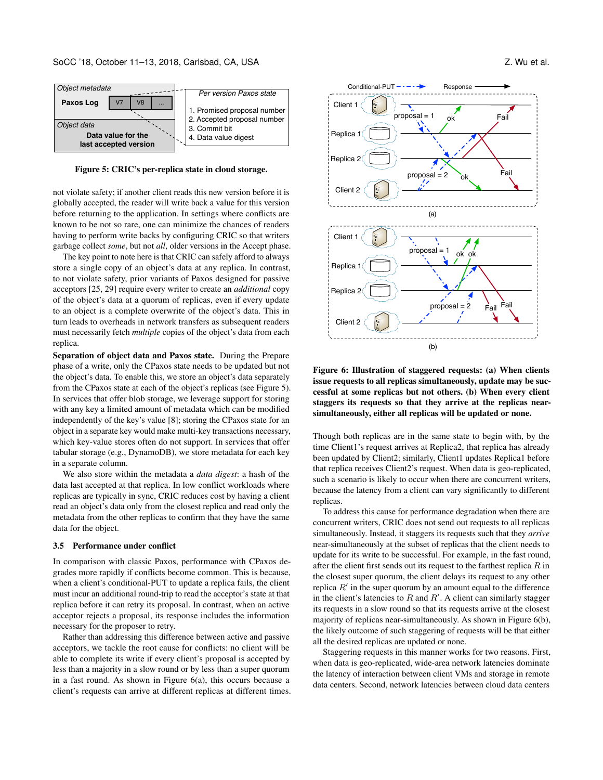<span id="page-5-0"></span>

Figure 5: CRIC's per-replica state in cloud storage.

not violate safety; if another client reads this new version before it is globally accepted, the reader will write back a value for this version before returning to the application. In settings where conflicts are known to be not so rare, one can minimize the chances of readers having to perform write backs by configuring CRIC so that writers garbage collect *some*, but not *all*, older versions in the Accept phase.

The key point to note here is that CRIC can safely afford to always store a single copy of an object's data at any replica. In contrast, to not violate safety, prior variants of Paxos designed for passive acceptors [\[25,](#page-12-11) [29\]](#page-12-12) require every writer to create an *additional* copy of the object's data at a quorum of replicas, even if every update to an object is a complete overwrite of the object's data. This in turn leads to overheads in network transfers as subsequent readers must necessarily fetch *multiple* copies of the object's data from each replica.

Separation of object data and Paxos state. During the Prepare phase of a write, only the CPaxos state needs to be updated but not the object's data. To enable this, we store an object's data separately from the CPaxos state at each of the object's replicas (see Figure [5\)](#page-5-0). In services that offer blob storage, we leverage support for storing with any key a limited amount of metadata which can be modified independently of the key's value [\[8\]](#page-12-26); storing the CPaxos state for an object in a separate key would make multi-key transactions necessary, which key-value stores often do not support. In services that offer tabular storage (e.g., DynamoDB), we store metadata for each key in a separate column.

We also store within the metadata a *data digest*: a hash of the data last accepted at that replica. In low conflict workloads where replicas are typically in sync, CRIC reduces cost by having a client read an object's data only from the closest replica and read only the metadata from the other replicas to confirm that they have the same data for the object.

#### <span id="page-5-1"></span>3.5 Performance under conflict

In comparison with classic Paxos, performance with CPaxos degrades more rapidly if conflicts become common. This is because, when a client's conditional-PUT to update a replica fails, the client must incur an additional round-trip to read the acceptor's state at that replica before it can retry its proposal. In contrast, when an active acceptor rejects a proposal, its response includes the information necessary for the proposer to retry.

Rather than addressing this difference between active and passive acceptors, we tackle the root cause for conflicts: no client will be able to complete its write if every client's proposal is accepted by less than a majority in a slow round or by less than a super quorum in a fast round. As shown in Figure [6\(](#page-5-2)a), this occurs because a client's requests can arrive at different replicas at different times.

<span id="page-5-2"></span>

Figure 6: Illustration of staggered requests: (a) When clients issue requests to all replicas simultaneously, update may be successful at some replicas but not others. (b) When every client staggers its requests so that they arrive at the replicas nearsimultaneously, either all replicas will be updated or none.

Though both replicas are in the same state to begin with, by the time Client1's request arrives at Replica2, that replica has already been updated by Client2; similarly, Client1 updates Replica1 before that replica receives Client2's request. When data is geo-replicated, such a scenario is likely to occur when there are concurrent writers, because the latency from a client can vary significantly to different replicas.

To address this cause for performance degradation when there are concurrent writers, CRIC does not send out requests to all replicas simultaneously. Instead, it staggers its requests such that they *arrive* near-simultaneously at the subset of replicas that the client needs to update for its write to be successful. For example, in the fast round, after the client first sends out its request to the farthest replica  $R$  in the closest super quorum, the client delays its request to any other replica  $R'$  in the super quorum by an amount equal to the difference in the client's latencies to  $R$  and  $R'$ . A client can similarly stagger its requests in a slow round so that its requests arrive at the closest majority of replicas near-simultaneously. As shown in Figure [6\(](#page-5-2)b), the likely outcome of such staggering of requests will be that either all the desired replicas are updated or none.

Staggering requests in this manner works for two reasons. First, when data is geo-replicated, wide-area network latencies dominate the latency of interaction between client VMs and storage in remote data centers. Second, network latencies between cloud data centers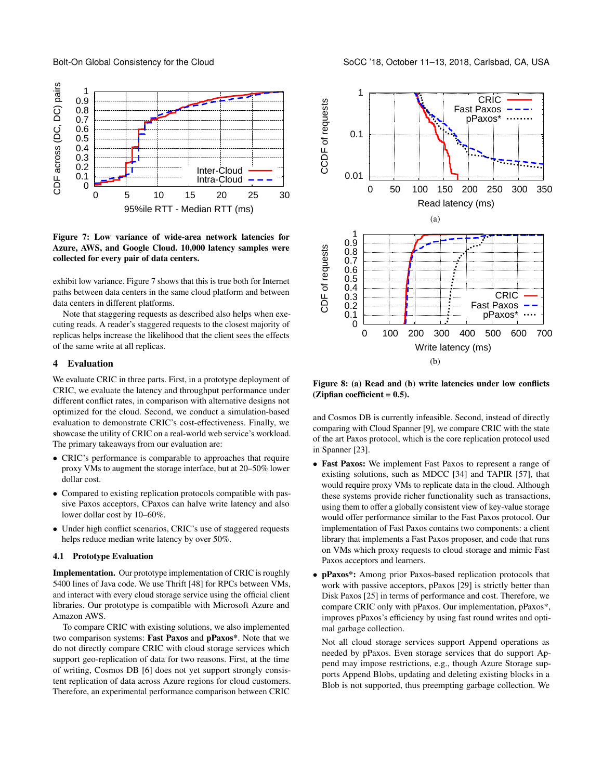<span id="page-6-1"></span>

Figure 7: Low variance of wide-area network latencies for Azure, AWS, and Google Cloud. 10,000 latency samples were collected for every pair of data centers.

exhibit low variance. Figure [7](#page-6-1) shows that this is true both for Internet paths between data centers in the same cloud platform and between data centers in different platforms.

Note that staggering requests as described also helps when executing reads. A reader's staggered requests to the closest majority of replicas helps increase the likelihood that the client sees the effects of the same write at all replicas.

# <span id="page-6-0"></span>4 Evaluation

We evaluate CRIC in three parts. First, in a prototype deployment of CRIC, we evaluate the latency and throughput performance under different conflict rates, in comparison with alternative designs not optimized for the cloud. Second, we conduct a simulation-based evaluation to demonstrate CRIC's cost-effectiveness. Finally, we showcase the utility of CRIC on a real-world web service's workload. The primary takeaways from our evaluation are:

- ∙ CRIC's performance is comparable to approaches that require proxy VMs to augment the storage interface, but at 20–50% lower dollar cost.
- ∙ Compared to existing replication protocols compatible with passive Paxos acceptors, CPaxos can halve write latency and also lower dollar cost by 10–60%.
- ∙ Under high conflict scenarios, CRIC's use of staggered requests helps reduce median write latency by over 50%.

#### 4.1 Prototype Evaluation

Implementation. Our prototype implementation of CRIC is roughly 5400 lines of Java code. We use Thrift [\[48\]](#page-12-27) for RPCs between VMs, and interact with every cloud storage service using the official client libraries. Our prototype is compatible with Microsoft Azure and Amazon AWS.

To compare CRIC with existing solutions, we also implemented two comparison systems: Fast Paxos and pPaxos\*. Note that we do not directly compare CRIC with cloud storage services which support geo-replication of data for two reasons. First, at the time of writing, Cosmos DB [\[6\]](#page-12-5) does not yet support strongly consistent replication of data across Azure regions for cloud customers. Co and the set of the set of the set of the set of the set of the set of the set of the set of the set of the set of the set of the set of the set of the set of the set of the set of the set of the set of the set of the s

<span id="page-6-2"></span>

Figure 8: (a) Read and (b) write latencies under low conflicts (Zipfian coefficient  $= 0.5$ ).

and Cosmos DB is currently infeasible. Second, instead of directly comparing with Cloud Spanner [\[9\]](#page-12-4), we compare CRIC with the state of the art Paxos protocol, which is the core replication protocol used in Spanner [\[23\]](#page-12-18).

- ∙ Fast Paxos: We implement Fast Paxos to represent a range of existing solutions, such as MDCC [\[34\]](#page-12-28) and TAPIR [\[57\]](#page-12-29), that would require proxy VMs to replicate data in the cloud. Although these systems provide richer functionality such as transactions, using them to offer a globally consistent view of key-value storage would offer performance similar to the Fast Paxos protocol. Our implementation of Fast Paxos contains two components: a client library that implements a Fast Paxos proposer, and code that runs on VMs which proxy requests to cloud storage and mimic Fast Paxos acceptors and learners.
- ∙ pPaxos\*: Among prior Paxos-based replication protocols that work with passive acceptors, pPaxos [\[29\]](#page-12-12) is strictly better than Disk Paxos [\[25\]](#page-12-11) in terms of performance and cost. Therefore, we compare CRIC only with pPaxos. Our implementation, pPaxos\*, improves pPaxos's efficiency by using fast round writes and optimal garbage collection.

Not all cloud storage services support Append operations as needed by pPaxos. Even storage services that do support Append may impose restrictions, e.g., though Azure Storage supports Append Blobs, updating and deleting existing blocks in a Blob is not supported, thus preempting garbage collection. We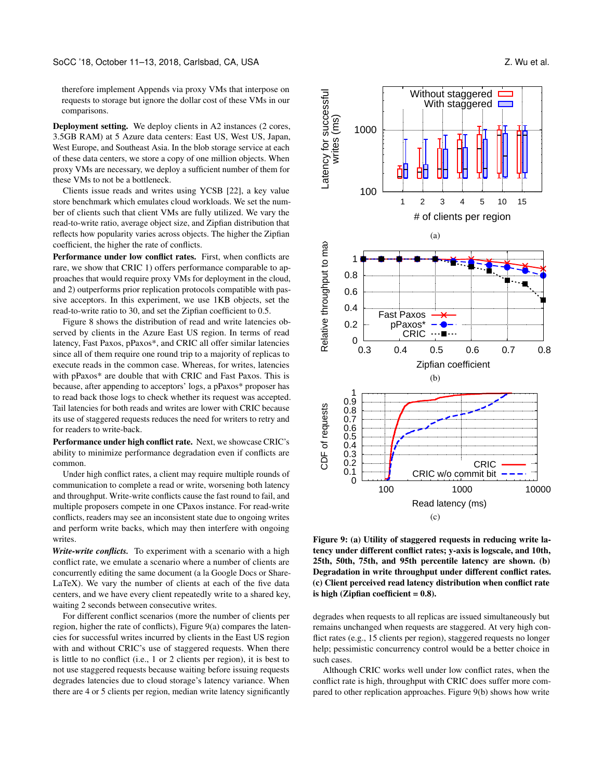therefore implement Appends via proxy VMs that interpose on requests to storage but ignore the dollar cost of these VMs in our comparisons.

Deployment setting. We deploy clients in A2 instances (2 cores, 3.5GB RAM) at 5 Azure data centers: East US, West US, Japan, West Europe, and Southeast Asia. In the blob storage service at each of these data centers, we store a copy of one million objects. When proxy VMs are necessary, we deploy a sufficient number of them for these VMs to not be a bottleneck.

Clients issue reads and writes using YCSB [\[22\]](#page-12-30), a key value store benchmark which emulates cloud workloads. We set the number of clients such that client VMs are fully utilized. We vary the read-to-write ratio, average object size, and Zipfian distribution that reflects how popularity varies across objects. The higher the Zipfian coefficient, the higher the rate of conflicts.

Performance under low conflict rates. First, when conflicts are rare, we show that CRIC 1) offers performance comparable to approaches that would require proxy VMs for deployment in the cloud, and 2) outperforms prior replication protocols compatible with passive acceptors. In this experiment, we use 1KB objects, set the read-to-write ratio to 30, and set the Zipfian coefficient to 0.5.

Figure [8](#page-6-2) shows the distribution of read and write latencies observed by clients in the Azure East US region. In terms of read latency, Fast Paxos, pPaxos\*, and CRIC all offer similar latencies since all of them require one round trip to a majority of replicas to execute reads in the common case. Whereas, for writes, latencies with pPaxos\* are double that with CRIC and Fast Paxos. This is because, after appending to acceptors' logs, a pPaxos\* proposer has to read back those logs to check whether its request was accepted. Tail latencies for both reads and writes are lower with CRIC because its use of staggered requests reduces the need for writers to retry and for readers to write-back.

Performance under high conflict rate. Next, we showcase CRIC's ability to minimize performance degradation even if conflicts are common.

Under high conflict rates, a client may require multiple rounds of communication to complete a read or write, worsening both latency and throughput. Write-write conflicts cause the fast round to fail, and multiple proposers compete in one CPaxos instance. For read-write conflicts, readers may see an inconsistent state due to ongoing writes and perform write backs, which may then interfere with ongoing writes.

*Write-write conflicts.* To experiment with a scenario with a high conflict rate, we emulate a scenario where a number of clients are concurrently editing the same document (a la Google Docs or Share-LaTeX). We vary the number of clients at each of the five data centers, and we have every client repeatedly write to a shared key, waiting 2 seconds between consecutive writes.

For different conflict scenarios (more the number of clients per region, higher the rate of conflicts), Figure [9\(](#page-7-0)a) compares the latencies for successful writes incurred by clients in the East US region with and without CRIC's use of staggered requests. When there is little to no conflict (i.e., 1 or 2 clients per region), it is best to not use staggered requests because waiting before issuing requests degrades latencies due to cloud storage's latency variance. When there are 4 or 5 clients per region, median write latency significantly

<span id="page-7-0"></span>

Figure 9: (a) Utility of staggered requests in reducing write latency under different conflict rates; y-axis is logscale, and 10th, 25th, 50th, 75th, and 95th percentile latency are shown. (b) Degradation in write throughput under different conflict rates. (c) Client perceived read latency distribution when conflict rate is high (Zipfian coefficient  $= 0.8$ ).

degrades when requests to all replicas are issued simultaneously but remains unchanged when requests are staggered. At very high conflict rates (e.g., 15 clients per region), staggered requests no longer help; pessimistic concurrency control would be a better choice in such cases.

Although CRIC works well under low conflict rates, when the conflict rate is high, throughput with CRIC does suffer more compared to other replication approaches. Figure [9\(](#page-7-0)b) shows how write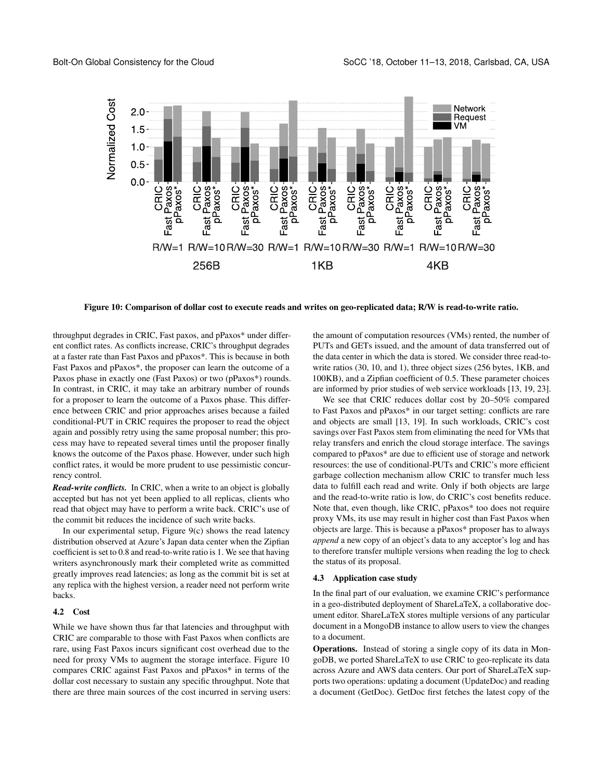<span id="page-8-0"></span>

Figure 10: Comparison of dollar cost to execute reads and writes on geo-replicated data; R/W is read-to-write ratio.

throughput degrades in CRIC, Fast paxos, and pPaxos\* under different conflict rates. As conflicts increase, CRIC's throughput degrades at a faster rate than Fast Paxos and pPaxos\*. This is because in both Fast Paxos and pPaxos\*, the proposer can learn the outcome of a Paxos phase in exactly one (Fast Paxos) or two (pPaxos\*) rounds. In contrast, in CRIC, it may take an arbitrary number of rounds for a proposer to learn the outcome of a Paxos phase. This difference between CRIC and prior approaches arises because a failed conditional-PUT in CRIC requires the proposer to read the object again and possibly retry using the same proposal number; this process may have to repeated several times until the proposer finally knows the outcome of the Paxos phase. However, under such high conflict rates, it would be more prudent to use pessimistic concurrency control.

*Read-write conflicts.* In CRIC, when a write to an object is globally accepted but has not yet been applied to all replicas, clients who read that object may have to perform a write back. CRIC's use of the commit bit reduces the incidence of such write backs.

In our experimental setup, Figure  $9(c)$  shows the read latency distribution observed at Azure's Japan data center when the Zipfian coefficient is set to 0.8 and read-to-write ratio is 1. We see that having writers asynchronously mark their completed write as committed greatly improves read latencies; as long as the commit bit is set at any replica with the highest version, a reader need not perform write backs.

# 4.2 Cost

While we have shown thus far that latencies and throughput with CRIC are comparable to those with Fast Paxos when conflicts are rare, using Fast Paxos incurs significant cost overhead due to the need for proxy VMs to augment the storage interface. Figure [10](#page-8-0) compares CRIC against Fast Paxos and pPaxos\* in terms of the dollar cost necessary to sustain any specific throughput. Note that there are three main sources of the cost incurred in serving users: the amount of computation resources (VMs) rented, the number of PUTs and GETs issued, and the amount of data transferred out of the data center in which the data is stored. We consider three read-towrite ratios (30, 10, and 1), three object sizes (256 bytes, 1KB, and 100KB), and a Zipfian coefficient of 0.5. These parameter choices are informed by prior studies of web service workloads [\[13,](#page-12-13) [19,](#page-12-14) [23\]](#page-12-18).

We see that CRIC reduces dollar cost by 20–50% compared to Fast Paxos and pPaxos\* in our target setting: conflicts are rare and objects are small [\[13,](#page-12-13) [19\]](#page-12-14). In such workloads, CRIC's cost savings over Fast Paxos stem from eliminating the need for VMs that relay transfers and enrich the cloud storage interface. The savings compared to pPaxos\* are due to efficient use of storage and network resources: the use of conditional-PUTs and CRIC's more efficient garbage collection mechanism allow CRIC to transfer much less data to fulfill each read and write. Only if both objects are large and the read-to-write ratio is low, do CRIC's cost benefits reduce. Note that, even though, like CRIC, pPaxos\* too does not require proxy VMs, its use may result in higher cost than Fast Paxos when objects are large. This is because a pPaxos\* proposer has to always *append* a new copy of an object's data to any acceptor's log and has to therefore transfer multiple versions when reading the log to check the status of its proposal.

#### 4.3 Application case study

In the final part of our evaluation, we examine CRIC's performance in a geo-distributed deployment of ShareLaTeX, a collaborative document editor. ShareLaTeX stores multiple versions of any particular document in a MongoDB instance to allow users to view the changes to a document.

Operations. Instead of storing a single copy of its data in MongoDB, we ported ShareLaTeX to use CRIC to geo-replicate its data across Azure and AWS data centers. Our port of ShareLaTeX supports two operations: updating a document (UpdateDoc) and reading a document (GetDoc). GetDoc first fetches the latest copy of the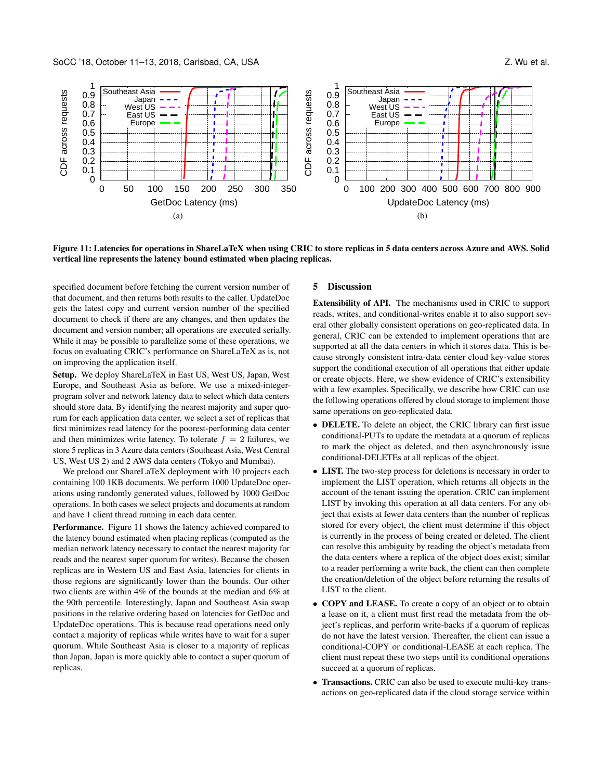SoCC '18, October 11–13, 2018, Carlsbad, CA, USA Z. Wu et al.

<span id="page-9-1"></span>

Figure 11: Latencies for operations in ShareLaTeX when using CRIC to store replicas in 5 data centers across Azure and AWS. Solid vertical line represents the latency bound estimated when placing replicas.

specified document before fetching the current version number of that document, and then returns both results to the caller. UpdateDoc gets the latest copy and current version number of the specified document to check if there are any changes, and then updates the document and version number; all operations are executed serially. While it may be possible to parallelize some of these operations, we focus on evaluating CRIC's performance on ShareLaTeX as is, not on improving the application itself.

Setup. We deploy ShareLaTeX in East US, West US, Japan, West Europe, and Southeast Asia as before. We use a mixed-integerprogram solver and network latency data to select which data centers should store data. By identifying the nearest majority and super quorum for each application data center, we select a set of replicas that first minimizes read latency for the poorest-performing data center and then minimizes write latency. To tolerate  $f = 2$  failures, we store 5 replicas in 3 Azure data centers (Southeast Asia, West Central US, West US 2) and 2 AWS data centers (Tokyo and Mumbai).

We preload our ShareLaTeX deployment with 10 projects each containing 100 1KB documents. We perform 1000 UpdateDoc operations using randomly generated values, followed by 1000 GetDoc operations. In both cases we select projects and documents at random and have 1 client thread running in each data center.

<span id="page-9-0"></span>Performance. Figure [11](#page-9-1) shows the latency achieved compared to the latency bound estimated when placing replicas (computed as the median network latency necessary to contact the nearest majority for reads and the nearest super quorum for writes). Because the chosen replicas are in Western US and East Asia, latencies for clients in those regions are significantly lower than the bounds. Our other two clients are within 4% of the bounds at the median and 6% at the 90th percentile. Interestingly, Japan and Southeast Asia swap positions in the relative ordering based on latencies for GetDoc and UpdateDoc operations. This is because read operations need only contact a majority of replicas while writes have to wait for a super quorum. While Southeast Asia is closer to a majority of replicas than Japan, Japan is more quickly able to contact a super quorum of replicas.

# 5 Discussion

Extensibility of API. The mechanisms used in CRIC to support reads, writes, and conditional-writes enable it to also support several other globally consistent operations on geo-replicated data. In general, CRIC can be extended to implement operations that are supported at all the data centers in which it stores data. This is because strongly consistent intra-data center cloud key-value stores support the conditional execution of all operations that either update or create objects. Here, we show evidence of CRIC's extensibility with a few examples. Specifically, we describe how CRIC can use the following operations offered by cloud storage to implement those same operations on geo-replicated data.

- ∙ DELETE. To delete an object, the CRIC library can first issue conditional-PUTs to update the metadata at a quorum of replicas to mark the object as deleted, and then asynchronously issue conditional-DELETEs at all replicas of the object.
- ∙ LIST. The two-step process for deletions is necessary in order to implement the LIST operation, which returns all objects in the account of the tenant issuing the operation. CRIC can implement LIST by invoking this operation at all data centers. For any object that exists at fewer data centers than the number of replicas stored for every object, the client must determine if this object is currently in the process of being created or deleted. The client can resolve this ambiguity by reading the object's metadata from the data centers where a replica of the object does exist; similar to a reader performing a write back, the client can then complete the creation/deletion of the object before returning the results of LIST to the client.
- ∙ COPY and LEASE. To create a copy of an object or to obtain a lease on it, a client must first read the metadata from the object's replicas, and perform write-backs if a quorum of replicas do not have the latest version. Thereafter, the client can issue a conditional-COPY or conditional-LEASE at each replica. The client must repeat these two steps until its conditional operations succeed at a quorum of replicas.
- ∙ Transactions. CRIC can also be used to execute multi-key transactions on geo-replicated data if the cloud storage service within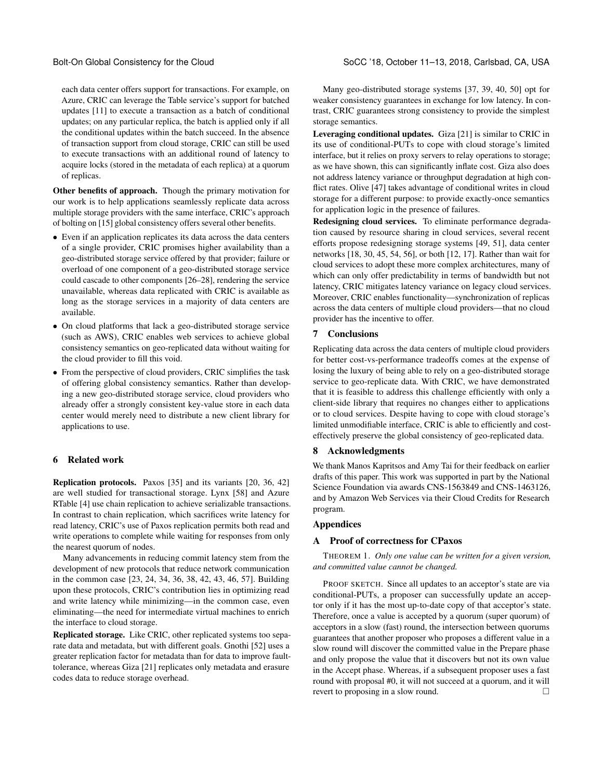each data center offers support for transactions. For example, on Azure, CRIC can leverage the Table service's support for batched updates [\[11\]](#page-12-31) to execute a transaction as a batch of conditional updates; on any particular replica, the batch is applied only if all the conditional updates within the batch succeed. In the absence of transaction support from cloud storage, CRIC can still be used to execute transactions with an additional round of latency to acquire locks (stored in the metadata of each replica) at a quorum of replicas.

Other benefits of approach. Though the primary motivation for our work is to help applications seamlessly replicate data across multiple storage providers with the same interface, CRIC's approach of bolting on [\[15\]](#page-12-32) global consistency offers several other benefits.

- ∙ Even if an application replicates its data across the data centers of a single provider, CRIC promises higher availability than a geo-distributed storage service offered by that provider; failure or overload of one component of a geo-distributed storage service could cascade to other components [\[26–](#page-12-33)[28\]](#page-12-34), rendering the service unavailable, whereas data replicated with CRIC is available as long as the storage services in a majority of data centers are available.
- ∙ On cloud platforms that lack a geo-distributed storage service (such as AWS), CRIC enables web services to achieve global consistency semantics on geo-replicated data without waiting for the cloud provider to fill this void.
- ∙ From the perspective of cloud providers, CRIC simplifies the task of offering global consistency semantics. Rather than developing a new geo-distributed storage service, cloud providers who already offer a strongly consistent key-value store in each data center would merely need to distribute a new client library for applications to use.

# 6 Related work

Replication protocols. Paxos [\[35\]](#page-12-17) and its variants [\[20,](#page-12-35) [36,](#page-12-10) [42\]](#page-12-36) are well studied for transactional storage. Lynx [\[58\]](#page-12-37) and Azure RTable [\[4\]](#page-12-38) use chain replication to achieve serializable transactions. In contrast to chain replication, which sacrifices write latency for read latency, CRIC's use of Paxos replication permits both read and write operations to complete while waiting for responses from only the nearest quorum of nodes.

Many advancements in reducing commit latency stem from the development of new protocols that reduce network communication in the common case [\[23,](#page-12-18) [24,](#page-12-39) [34,](#page-12-28) [36,](#page-12-10) [38,](#page-12-40) [42,](#page-12-36) [43,](#page-12-41) [46,](#page-12-22) [57\]](#page-12-29). Building upon these protocols, CRIC's contribution lies in optimizing read and write latency while minimizing—in the common case, even eliminating—the need for intermediate virtual machines to enrich the interface to cloud storage.

Replicated storage. Like CRIC, other replicated systems too separate data and metadata, but with different goals. Gnothi [\[52\]](#page-12-42) uses a greater replication factor for metadata than for data to improve faulttolerance, whereas Giza [\[21\]](#page-12-43) replicates only metadata and erasure codes data to reduce storage overhead.

Many geo-distributed storage systems [\[37,](#page-12-44) [39,](#page-12-45) [40,](#page-12-46) [50\]](#page-12-47) opt for weaker consistency guarantees in exchange for low latency. In contrast, CRIC guarantees strong consistency to provide the simplest storage semantics.

Leveraging conditional updates. Giza [\[21\]](#page-12-43) is similar to CRIC in its use of conditional-PUTs to cope with cloud storage's limited interface, but it relies on proxy servers to relay operations to storage; as we have shown, this can significantly inflate cost. Giza also does not address latency variance or throughput degradation at high conflict rates. Olive [\[47\]](#page-12-48) takes advantage of conditional writes in cloud storage for a different purpose: to provide exactly-once semantics for application logic in the presence of failures.

Redesigning cloud services. To eliminate performance degradation caused by resource sharing in cloud services, several recent efforts propose redesigning storage systems [\[49,](#page-12-49) [51\]](#page-12-50), data center networks [\[18,](#page-12-51) [30,](#page-12-52) [45,](#page-12-53) [54,](#page-12-54) [56\]](#page-12-55), or both [\[12,](#page-12-56) [17\]](#page-12-57). Rather than wait for cloud services to adopt these more complex architectures, many of which can only offer predictability in terms of bandwidth but not latency, CRIC mitigates latency variance on legacy cloud services. Moreover, CRIC enables functionality—synchronization of replicas across the data centers of multiple cloud providers—that no cloud provider has the incentive to offer.

# 7 Conclusions

Replicating data across the data centers of multiple cloud providers for better cost-vs-performance tradeoffs comes at the expense of losing the luxury of being able to rely on a geo-distributed storage service to geo-replicate data. With CRIC, we have demonstrated that it is feasible to address this challenge efficiently with only a client-side library that requires no changes either to applications or to cloud services. Despite having to cope with cloud storage's limited unmodifiable interface, CRIC is able to efficiently and costeffectively preserve the global consistency of geo-replicated data.

#### 8 Acknowledgments

We thank Manos Kapritsos and Amy Tai for their feedback on earlier drafts of this paper. This work was supported in part by the National Science Foundation via awards CNS-1563849 and CNS-1463126, and by Amazon Web Services via their Cloud Credits for Research program.

### Appendices

# <span id="page-10-0"></span>A Proof of correctness for CPaxos

THEOREM 1. *Only one value can be written for a given version, and committed value cannot be changed.*

PROOF SKETCH. Since all updates to an acceptor's state are via conditional-PUTs, a proposer can successfully update an acceptor only if it has the most up-to-date copy of that acceptor's state. Therefore, once a value is accepted by a quorum (super quorum) of acceptors in a slow (fast) round, the intersection between quorums guarantees that another proposer who proposes a different value in a slow round will discover the committed value in the Prepare phase and only propose the value that it discovers but not its own value in the Accept phase. Whereas, if a subsequent proposer uses a fast round with proposal #0, it will not succeed at a quorum, and it will revert to proposing in a slow round.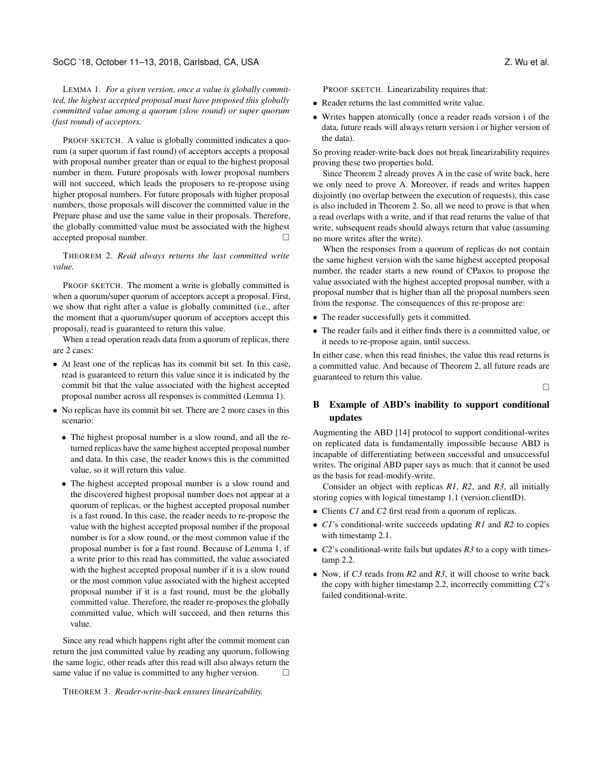# SoCC '18, October 11–13, 2018, Carlsbad, CA, USA Z. Wu et al.

<span id="page-11-1"></span>LEMMA 1. *For a given version, once a value is globally committed, the highest accepted proposal must have proposed this globally committed value among a quorum (slow round) or super quorum (fast round) of acceptors.*

PROOF SKETCH. A value is globally committed indicates a quorum (a super quorum if fast round) of acceptors accepts a proposal with proposal number greater than or equal to the highest proposal number in them. Future proposals with lower proposal numbers will not succeed, which leads the proposers to re-propose using higher proposal numbers. For future proposals with higher proposal numbers, those proposals will discover the committed value in the Prepare phase and use the same value in their proposals. Therefore, the globally committed value must be associated with the highest accepted proposal number.

<span id="page-11-2"></span>THEOREM 2. *Read always returns the last committed write value.*

PROOF SKETCH. The moment a write is globally committed is when a quorum/super quorum of acceptors accept a proposal. First, we show that right after a value is globally committed (i.e., after the moment that a quorum/super quorum of acceptors accept this proposal), read is guaranteed to return this value.

When a read operation reads data from a quorum of replicas, there are 2 cases:

- ∙ At least one of the replicas has its commit bit set. In this case, read is guaranteed to return this value since it is indicated by the commit bit that the value associated with the highest accepted proposal number across all responses is committed (Lemma [1\)](#page-11-1).
- ∙ No replicas have its commit bit set. There are 2 more cases in this scenario:
	- ∙ The highest proposal number is a slow round, and all the returned replicas have the same highest accepted proposal number and data. In this case, the reader knows this is the committed value, so it will return this value.
	- ∙ The highest accepted proposal number is a slow round and the discovered highest proposal number does not appear at a quorum of replicas, or the highest accepted proposal number is a fast round. In this case, the reader needs to re-propose the value with the highest accepted proposal number if the proposal number is for a slow round, or the most common value if the proposal number is for a fast round. Because of Lemma [1,](#page-11-1) if a write prior to this read has committed, the value associated with the highest accepted proposal number if it is a slow round or the most common value associated with the highest accepted proposal number if it is a fast round, must be the globally committed value. Therefore, the reader re-proposes the globally committed value, which will succeed, and then returns this value.

Since any read which happens right after the commit moment can return the just committed value by reading any quorum, following the same logic, other reads after this read will also always return the same value if no value is committed to any higher version.  $\Box$ 

<span id="page-11-3"></span>THEOREM 3. *Reader-write-back ensures linearizability.*

PROOF SKETCH. Linearizability requires that:

- ∙ Reader returns the last committed write value.
- ∙ Writes happen atomically (once a reader reads version i of the data, future reads will always return version i or higher version of the data).

So proving reader-write-back does not break linearizability requires proving these two properties hold.

Since Theorem [2](#page-11-2) already proves [A](#page-11-3) in the case of write back, here we only need to prove [A.](#page-11-3) Moreover, if reads and writes happen disjointly (no overlap between the execution of requests), this case is also included in Theorem [2.](#page-11-2) So, all we need to prove is that when a read overlaps with a write, and if that read returns the value of that write, subsequent reads should always return that value (assuming no more writes after the write).

When the responses from a quorum of replicas do not contain the same highest version with the same highest accepted proposal number, the reader starts a new round of CPaxos to propose the value associated with the highest accepted proposal number, with a proposal number that is higher than all the proposal numbers seen from the response. The consequences of this re-propose are:

- ∙ The reader successfully gets it committed.
- ∙ The reader fails and it either finds there is a committed value, or it needs to re-propose again, until success.

In either case, when this read finishes, the value this read returns is a committed value. And because of Theorem [2,](#page-11-2) all future reads are guaranteed to return this value.

 $\Box$ 

# <span id="page-11-0"></span>B Example of ABD's inability to support conditional updates

Augmenting the ABD [\[14\]](#page-12-16) protocol to support conditional-writes on replicated data is fundamentally impossible because ABD is incapable of differentiating between successful and unsuccessful writes. The original ABD paper says as much: that it cannot be used as the basis for read-modify-write.

Consider an object with replicas *R1*, *R2*, and *R3*, all initially storing copies with logical timestamp 1.1 (version.clientID).

- ∙ Clients *C1* and *C2* first read from a quorum of replicas.
- ∙ *C1*'s conditional-write succeeds updating *R1* and *R2* to copies with timestamp 2.1.
- ∙ *C2*'s conditional-write fails but updates *R3* to a copy with timestamp 2.2.
- ∙ Now, if *C3* reads from *R2* and *R3*, it will choose to write back the copy with higher timestamp 2.2, incorrectly committing *C2*'s failed conditional-write.